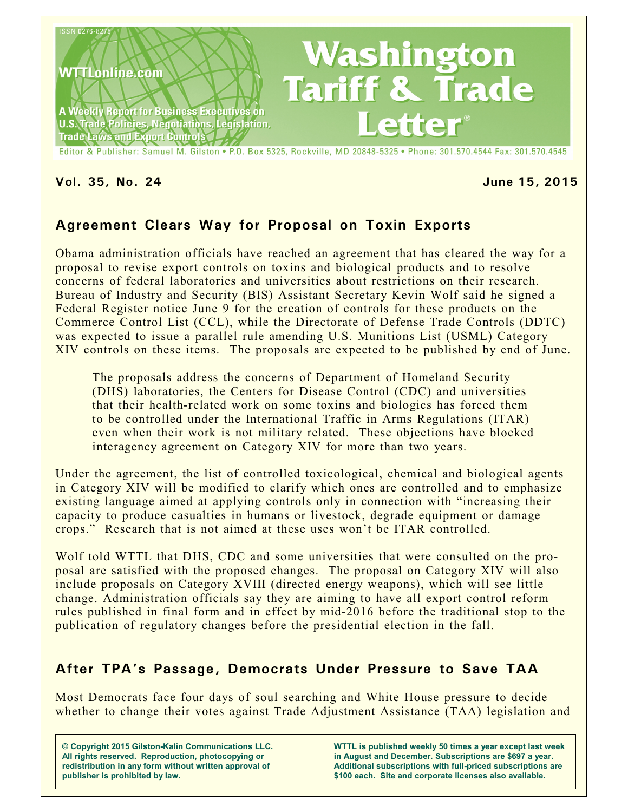

#### **Vol. 35, No. 24 June 15, 2015**

# **Agreement Clears Way for Proposal on Toxin Exports**

Obama administration officials have reached an agreement that has cleared the way for a proposal to revise export controls on toxins and biological products and to resolve concerns of federal laboratories and universities about restrictions on their research. Bureau of Industry and Security (BIS) Assistant Secretary Kevin Wolf said he signed a Federal Register notice June 9 for the creation of controls for these products on the Commerce Control List (CCL), while the Directorate of Defense Trade Controls (DDTC) was expected to issue a parallel rule amending U.S. Munitions List (USML) Category XIV controls on these items. The proposals are expected to be published by end of June.

The proposals address the concerns of Department of Homeland Security (DHS) laboratories, the Centers for Disease Control (CDC) and universities that their health-related work on some toxins and biologics has forced them to be controlled under the International Traffic in Arms Regulations (ITAR) even when their work is not military related. These objections have blocked interagency agreement on Category XIV for more than two years.

Under the agreement, the list of controlled toxicological, chemical and biological agents in Category XIV will be modified to clarify which ones are controlled and to emphasize existing language aimed at applying controls only in connection with "increasing their capacity to produce casualties in humans or livestock, degrade equipment or damage crops." Research that is not aimed at these uses won't be ITAR controlled.

Wolf told WTTL that DHS, CDC and some universities that were consulted on the proposal are satisfied with the proposed changes. The proposal on Category XIV will also include proposals on Category XVIII (directed energy weapons), which will see little change. Administration officials say they are aiming to have all export control reform rules published in final form and in effect by mid-2016 before the traditional stop to the publication of regulatory changes before the presidential election in the fall.

# **After TPA's Passage, Democrats Under Pressure to Save TAA**

Most Democrats face four days of soul searching and White House pressure to decide whether to change their votes against Trade Adjustment Assistance (TAA) legislation and

**© Copyright 2015 Gilston-Kalin Communications LLC. All rights reserved. Reproduction, photocopying or redistribution in any form without written approval of publisher is prohibited by law.** 

**WTTL is published weekly 50 times a year except last week in August and December. Subscriptions are \$697 a year. Additional subscriptions with full-priced subscriptions are \$100 each. Site and corporate licenses also available.**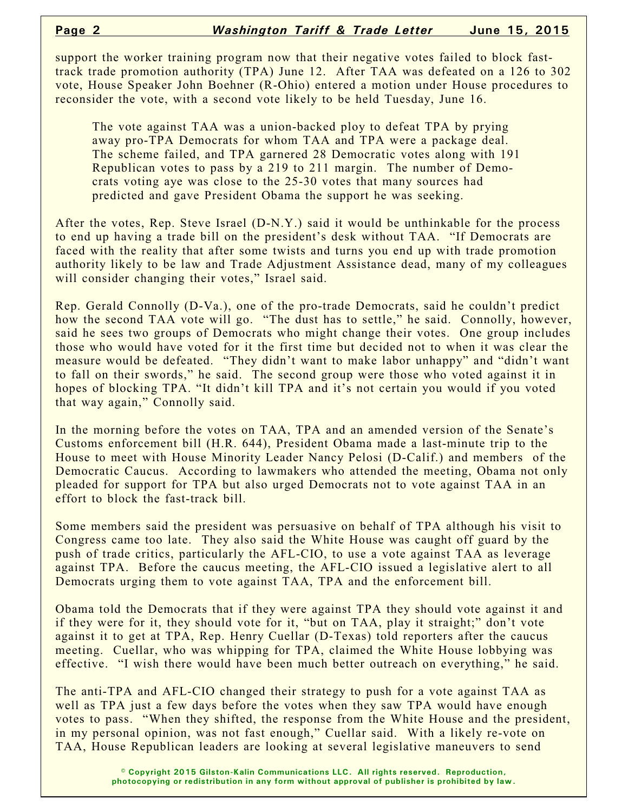support the worker training program now that their negative votes failed to block fasttrack trade promotion authority (TPA) June 12. After TAA was defeated on a 126 to 302 vote, House Speaker John Boehner (R-Ohio) entered a motion under House procedures to reconsider the vote, with a second vote likely to be held Tuesday, June 16.

The vote against TAA was a union-backed ploy to defeat TPA by prying away pro-TPA Democrats for whom TAA and TPA were a package deal. The scheme failed, and TPA garnered 28 Democratic votes along with 191 Republican votes to pass by a 219 to 211 margin. The number of Democrats voting aye was close to the 25-30 votes that many sources had predicted and gave President Obama the support he was seeking.

After the votes, Rep. Steve Israel (D-N.Y.) said it would be unthinkable for the process to end up having a trade bill on the president's desk without TAA. "If Democrats are faced with the reality that after some twists and turns you end up with trade promotion authority likely to be law and Trade Adjustment Assistance dead, many of my colleagues will consider changing their votes," Israel said.

Rep. Gerald Connolly (D-Va.), one of the pro-trade Democrats, said he couldn't predict how the second TAA vote will go. "The dust has to settle," he said. Connolly, however, said he sees two groups of Democrats who might change their votes. One group includes those who would have voted for it the first time but decided not to when it was clear the measure would be defeated. "They didn't want to make labor unhappy" and "didn't want to fall on their swords," he said. The second group were those who voted against it in hopes of blocking TPA. "It didn't kill TPA and it's not certain you would if you voted that way again," Connolly said.

In the morning before the votes on TAA, TPA and an amended version of the Senate's Customs enforcement bill (H.R. 644), President Obama made a last-minute trip to the House to meet with House Minority Leader Nancy Pelosi (D-Calif.) and members of the Democratic Caucus. According to lawmakers who attended the meeting, Obama not only pleaded for support for TPA but also urged Democrats not to vote against TAA in an effort to block the fast-track bill.

Some members said the president was persuasive on behalf of TPA although his visit to Congress came too late. They also said the White House was caught off guard by the push of trade critics, particularly the AFL-CIO, to use a vote against TAA as leverage against TPA. Before the caucus meeting, the AFL-CIO issued a legislative alert to all Democrats urging them to vote against TAA, TPA and the enforcement bill.

Obama told the Democrats that if they were against TPA they should vote against it and if they were for it, they should vote for it, "but on TAA, play it straight;" don't vote against it to get at TPA, Rep. Henry Cuellar (D-Texas) told reporters after the caucus meeting. Cuellar, who was whipping for TPA, claimed the White House lobbying was effective. "I wish there would have been much better outreach on everything," he said.

The anti-TPA and AFL-CIO changed their strategy to push for a vote against TAA as well as TPA just a few days before the votes when they saw TPA would have enough votes to pass. "When they shifted, the response from the White House and the president, in my personal opinion, was not fast enough," Cuellar said. With a likely re-vote on TAA, House Republican leaders are looking at several legislative maneuvers to send

> **© Copyright 2015 Gilston-Kalin Communications LLC. All rights reserved. Reproduction, photocopying or redistribution in any form without approval of publisher is prohibited by law.**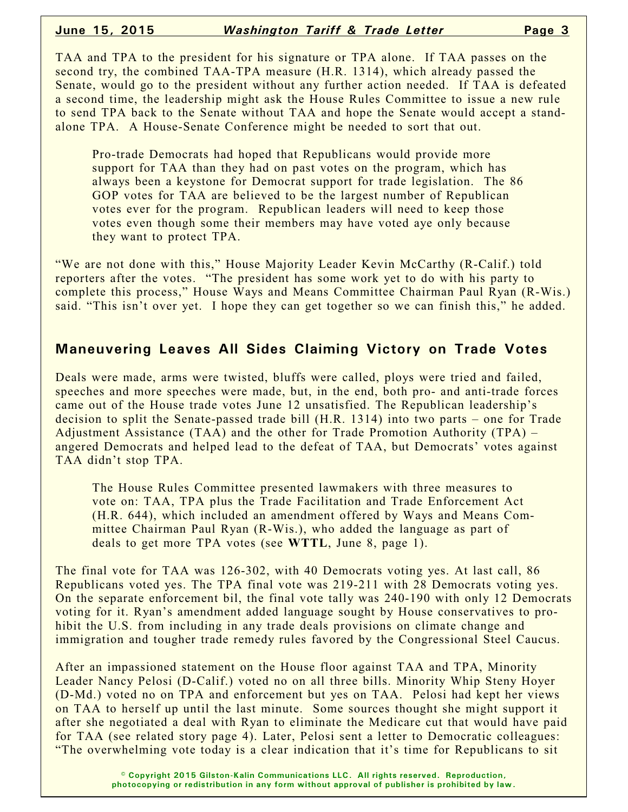TAA and TPA to the president for his signature or TPA alone. If TAA passes on the second try, the combined TAA-TPA measure (H.R. 1314), which already passed the Senate, would go to the president without any further action needed. If TAA is defeated a second time, the leadership might ask the House Rules Committee to issue a new rule to send TPA back to the Senate without TAA and hope the Senate would accept a standalone TPA. A House-Senate Conference might be needed to sort that out.

Pro-trade Democrats had hoped that Republicans would provide more support for TAA than they had on past votes on the program, which has always been a keystone for Democrat support for trade legislation. The 86 GOP votes for TAA are believed to be the largest number of Republican votes ever for the program. Republican leaders will need to keep those votes even though some their members may have voted aye only because they want to protect TPA.

"We are not done with this," House Majority Leader Kevin McCarthy (R-Calif.) told reporters after the votes. "The president has some work yet to do with his party to complete this process," House Ways and Means Committee Chairman Paul Ryan (R-Wis.) said. "This isn't over yet. I hope they can get together so we can finish this," he added.

#### **Maneuvering Leaves All Sides Claiming Victory on Trade Votes**

Deals were made, arms were twisted, bluffs were called, ploys were tried and failed, speeches and more speeches were made, but, in the end, both pro- and anti-trade forces came out of the House trade votes June 12 unsatisfied. The Republican leadership's decision to split the Senate-passed trade bill (H.R. 1314) into two parts – one for Trade Adjustment Assistance (TAA) and the other for Trade Promotion Authority (TPA) – angered Democrats and helped lead to the defeat of TAA, but Democrats' votes against TAA didn't stop TPA.

The House Rules Committee presented lawmakers with three measures to vote on: TAA, TPA plus the Trade Facilitation and Trade Enforcement Act (H.R. 644), which included an amendment offered by Ways and Means Committee Chairman Paul Ryan (R-Wis.), who added the language as part of deals to get more TPA votes (see **WTTL**, June 8, page 1).

The final vote for TAA was 126-302, with 40 Democrats voting yes. At last call, 86 Republicans voted yes. The TPA final vote was 219-211 with 28 Democrats voting yes. On the separate enforcement bil, the final vote tally was 240-190 with only 12 Democrats voting for it. Ryan's amendment added language sought by House conservatives to prohibit the U.S. from including in any trade deals provisions on climate change and immigration and tougher trade remedy rules favored by the Congressional Steel Caucus.

After an impassioned statement on the House floor against TAA and TPA, Minority Leader Nancy Pelosi (D-Calif.) voted no on all three bills. Minority Whip Steny Hoyer (D-Md.) voted no on TPA and enforcement but yes on TAA. Pelosi had kept her views on TAA to herself up until the last minute. Some sources thought she might support it after she negotiated a deal with Ryan to eliminate the Medicare cut that would have paid for TAA (see related story page 4). Later, Pelosi sent a letter to Democratic colleagues: "The overwhelming vote today is a clear indication that it's time for Republicans to sit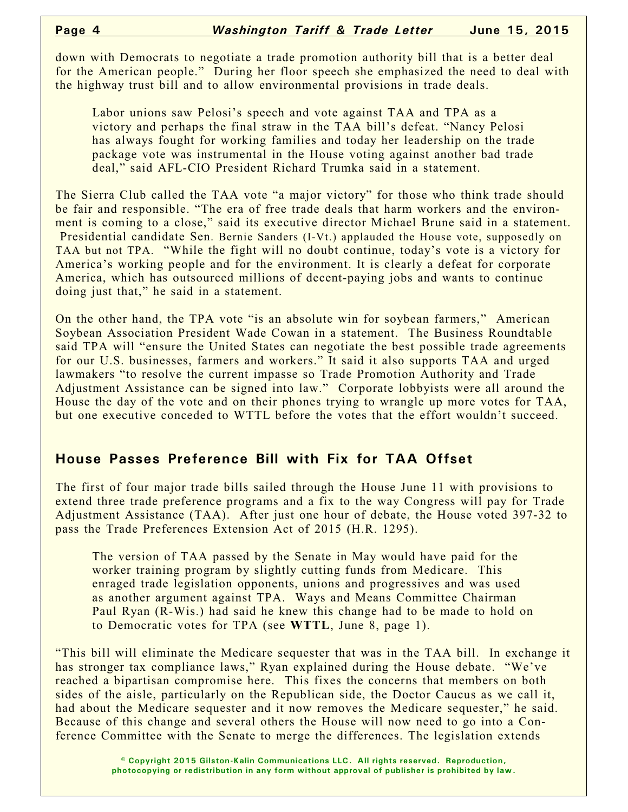down with Democrats to negotiate a trade promotion authority bill that is a better deal for the American people." During her floor speech she emphasized the need to deal with the highway trust bill and to allow environmental provisions in trade deals.

Labor unions saw Pelosi's speech and vote against TAA and TPA as a victory and perhaps the final straw in the TAA bill's defeat. "Nancy Pelosi has always fought for working families and today her leadership on the trade package vote was instrumental in the House voting against another bad trade deal," said AFL-CIO President Richard Trumka said in a statement.

The Sierra Club called the TAA vote "a major victory" for those who think trade should be fair and responsible. "The era of free trade deals that harm workers and the environment is coming to a close," said its executive director Michael Brune said in a statement. Presidential candidate Sen. Bernie Sanders (I-Vt.) applauded the House vote, supposedly on TAA but not TPA. "While the fight will no doubt continue, today's vote is a victory for America's working people and for the environment. It is clearly a defeat for corporate America, which has outsourced millions of decent-paying jobs and wants to continue doing just that," he said in a statement.

On the other hand, the TPA vote "is an absolute win for soybean farmers," American Soybean Association President Wade Cowan in a statement. The Business Roundtable said TPA will "ensure the United States can negotiate the best possible trade agreements for our U.S. businesses, farmers and workers." It said it also supports TAA and urged lawmakers "to resolve the current impasse so Trade Promotion Authority and Trade Adjustment Assistance can be signed into law." Corporate lobbyists were all around the House the day of the vote and on their phones trying to wrangle up more votes for TAA, but one executive conceded to WTTL before the votes that the effort wouldn't succeed.

# **House Passes Preference Bill with Fix for TAA Offset**

The first of four major trade bills sailed through the House June 11 with provisions to extend three trade preference programs and a fix to the way Congress will pay for Trade Adjustment Assistance (TAA). After just one hour of debate, the House voted 397-32 to pass the Trade Preferences Extension Act of 2015 (H.R. 1295).

The version of TAA passed by the Senate in May would have paid for the worker training program by slightly cutting funds from Medicare. This enraged trade legislation opponents, unions and progressives and was used as another argument against TPA. Ways and Means Committee Chairman Paul Ryan (R-Wis.) had said he knew this change had to be made to hold on to Democratic votes for TPA (see **WTTL**, June 8, page 1).

"This bill will eliminate the Medicare sequester that was in the TAA bill. In exchange it has stronger tax compliance laws," Ryan explained during the House debate. "We've reached a bipartisan compromise here. This fixes the concerns that members on both sides of the aisle, particularly on the Republican side, the Doctor Caucus as we call it, had about the Medicare sequester and it now removes the Medicare sequester," he said. Because of this change and several others the House will now need to go into a Conference Committee with the Senate to merge the differences. The legislation extends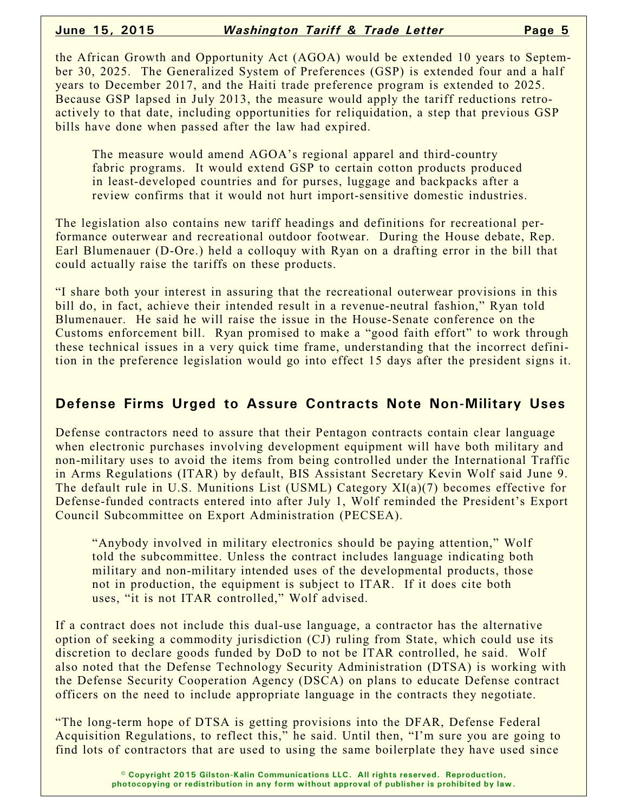the African Growth and Opportunity Act (AGOA) would be extended 10 years to September 30, 2025. The Generalized System of Preferences (GSP) is extended four and a half years to December 2017, and the Haiti trade preference program is extended to 2025. Because GSP lapsed in July 2013, the measure would apply the tariff reductions retroactively to that date, including opportunities for reliquidation, a step that previous GSP bills have done when passed after the law had expired.

The measure would amend AGOA's regional apparel and third-country fabric programs. It would extend GSP to certain cotton products produced in least-developed countries and for purses, luggage and backpacks after a review confirms that it would not hurt import-sensitive domestic industries.

The legislation also contains new tariff headings and definitions for recreational performance outerwear and recreational outdoor footwear. During the House debate, Rep. Earl Blumenauer (D-Ore.) held a colloquy with Ryan on a drafting error in the bill that could actually raise the tariffs on these products.

"I share both your interest in assuring that the recreational outerwear provisions in this bill do, in fact, achieve their intended result in a revenue-neutral fashion," Ryan told Blumenauer. He said he will raise the issue in the House-Senate conference on the Customs enforcement bill. Ryan promised to make a "good faith effort" to work through these technical issues in a very quick time frame, understanding that the incorrect definition in the preference legislation would go into effect 15 days after the president signs it.

#### **Defense Firms Urged to Assure Contracts Note Non-Military Uses**

Defense contractors need to assure that their Pentagon contracts contain clear language when electronic purchases involving development equipment will have both military and non-military uses to avoid the items from being controlled under the International Traffic in Arms Regulations (ITAR) by default, BIS Assistant Secretary Kevin Wolf said June 9. The default rule in U.S. Munitions List (USML) Category XI(a)(7) becomes effective for Defense-funded contracts entered into after July 1, Wolf reminded the President's Export Council Subcommittee on Export Administration (PECSEA).

"Anybody involved in military electronics should be paying attention," Wolf told the subcommittee. Unless the contract includes language indicating both military and non-military intended uses of the developmental products, those not in production, the equipment is subject to ITAR. If it does cite both uses, "it is not ITAR controlled," Wolf advised.

If a contract does not include this dual-use language, a contractor has the alternative option of seeking a commodity jurisdiction (CJ) ruling from State, which could use its discretion to declare goods funded by DoD to not be ITAR controlled, he said. Wolf also noted that the Defense Technology Security Administration (DTSA) is working with the Defense Security Cooperation Agency (DSCA) on plans to educate Defense contract officers on the need to include appropriate language in the contracts they negotiate.

"The long-term hope of DTSA is getting provisions into the DFAR, Defense Federal Acquisition Regulations, to reflect this," he said. Until then, "I'm sure you are going to find lots of contractors that are used to using the same boilerplate they have used since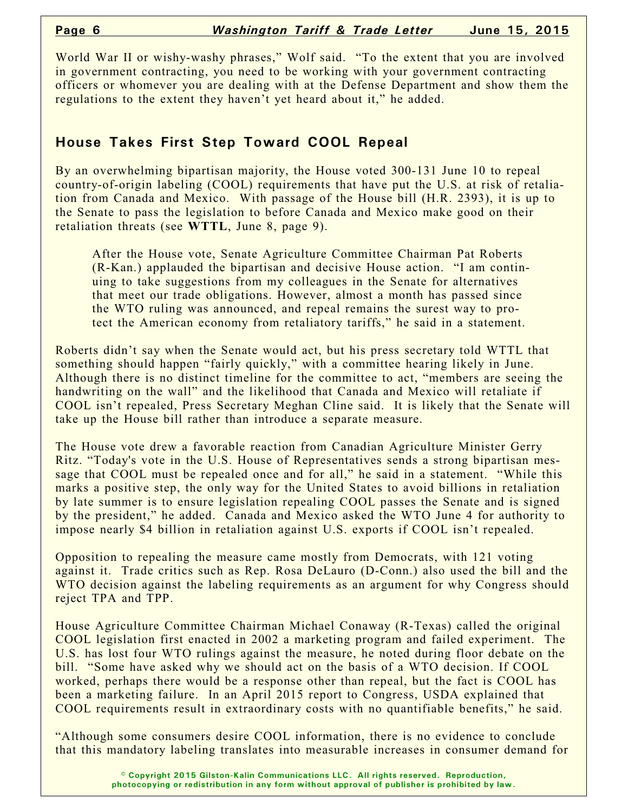World War II or wishy-washy phrases," Wolf said. "To the extent that you are involved in government contracting, you need to be working with your government contracting officers or whomever you are dealing with at the Defense Department and show them the regulations to the extent they haven't yet heard about it," he added.

## **House Takes First Step Toward COOL Repeal**

By an overwhelming bipartisan majority, the House voted 300-131 June 10 to repeal country-of-origin labeling (COOL) requirements that have put the U.S. at risk of retaliation from Canada and Mexico. With passage of the House bill (H.R. 2393), it is up to the Senate to pass the legislation to before Canada and Mexico make good on their retaliation threats (see **WTTL**, June 8, page 9).

After the House vote, Senate Agriculture Committee Chairman Pat Roberts (R-Kan.) applauded the bipartisan and decisive House action. "I am continuing to take suggestions from my colleagues in the Senate for alternatives that meet our trade obligations. However, almost a month has passed since the WTO ruling was announced, and repeal remains the surest way to protect the American economy from retaliatory tariffs," he said in a statement.

Roberts didn't say when the Senate would act, but his press secretary told WTTL that something should happen "fairly quickly," with a committee hearing likely in June. Although there is no distinct timeline for the committee to act, "members are seeing the handwriting on the wall" and the likelihood that Canada and Mexico will retaliate if COOL isn't repealed, Press Secretary Meghan Cline said. It is likely that the Senate will take up the House bill rather than introduce a separate measure.

The House vote drew a favorable reaction from Canadian Agriculture Minister Gerry Ritz. "Today's vote in the U.S. House of Representatives sends a strong bipartisan message that COOL must be repealed once and for all," he said in a statement. "While this marks a positive step, the only way for the United States to avoid billions in retaliation by late summer is to ensure legislation repealing COOL passes the Senate and is signed by the president," he added. Canada and Mexico asked the WTO June 4 for authority to impose nearly \$4 billion in retaliation against U.S. exports if COOL isn't repealed.

Opposition to repealing the measure came mostly from Democrats, with 121 voting against it. Trade critics such as Rep. Rosa DeLauro (D-Conn.) also used the bill and the WTO decision against the labeling requirements as an argument for why Congress should reject TPA and TPP.

House Agriculture Committee Chairman Michael Conaway (R-Texas) called the original COOL legislation first enacted in 2002 a marketing program and failed experiment. The U.S. has lost four WTO rulings against the measure, he noted during floor debate on the bill. "Some have asked why we should act on the basis of a WTO decision. If COOL worked, perhaps there would be a response other than repeal, but the fact is COOL has been a marketing failure. In an April 2015 report to Congress, USDA explained that COOL requirements result in extraordinary costs with no quantifiable benefits," he said.

"Although some consumers desire COOL information, there is no evidence to conclude that this mandatory labeling translates into measurable increases in consumer demand for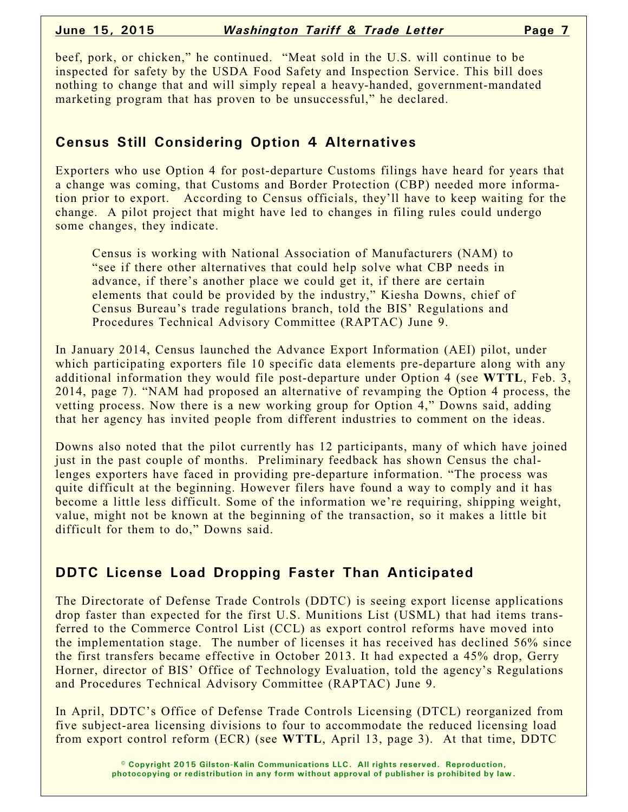beef, pork, or chicken," he continued. "Meat sold in the U.S. will continue to be inspected for safety by the USDA Food Safety and Inspection Service. This bill does nothing to change that and will simply repeal a heavy-handed, government-mandated marketing program that has proven to be unsuccessful," he declared.

# **Census Still Considering Option 4 Alternatives**

Exporters who use Option 4 for post-departure Customs filings have heard for years that a change was coming, that Customs and Border Protection (CBP) needed more information prior to export. According to Census officials, they'll have to keep waiting for the change. A pilot project that might have led to changes in filing rules could undergo some changes, they indicate.

Census is working with National Association of Manufacturers (NAM) to "see if there other alternatives that could help solve what CBP needs in advance, if there's another place we could get it, if there are certain elements that could be provided by the industry," Kiesha Downs, chief of Census Bureau's trade regulations branch, told the BIS' Regulations and Procedures Technical Advisory Committee (RAPTAC) June 9.

In January 2014, Census launched the Advance Export Information (AEI) pilot, under which participating exporters file 10 specific data elements pre-departure along with any additional information they would file post-departure under Option 4 (see **WTTL**, Feb. 3, 2014, page 7). "NAM had proposed an alternative of revamping the Option 4 process, the vetting process. Now there is a new working group for Option 4," Downs said, adding that her agency has invited people from different industries to comment on the ideas.

Downs also noted that the pilot currently has 12 participants, many of which have joined just in the past couple of months. Preliminary feedback has shown Census the challenges exporters have faced in providing pre-departure information. "The process was quite difficult at the beginning. However filers have found a way to comply and it has become a little less difficult. Some of the information we're requiring, shipping weight, value, might not be known at the beginning of the transaction, so it makes a little bit difficult for them to do," Downs said.

### **DDTC License Load Dropping Faster Than Anticipated**

The Directorate of Defense Trade Controls (DDTC) is seeing export license applications drop faster than expected for the first U.S. Munitions List (USML) that had items transferred to the Commerce Control List (CCL) as export control reforms have moved into the implementation stage. The number of licenses it has received has declined 56% since the first transfers became effective in October 2013. It had expected a 45% drop, Gerry Horner, director of BIS' Office of Technology Evaluation, told the agency's Regulations and Procedures Technical Advisory Committee (RAPTAC) June 9.

In April, DDTC's Office of Defense Trade Controls Licensing (DTCL) reorganized from five subject-area licensing divisions to four to accommodate the reduced licensing load from export control reform (ECR) (see **WTTL**, April 13, page 3). At that time, DDTC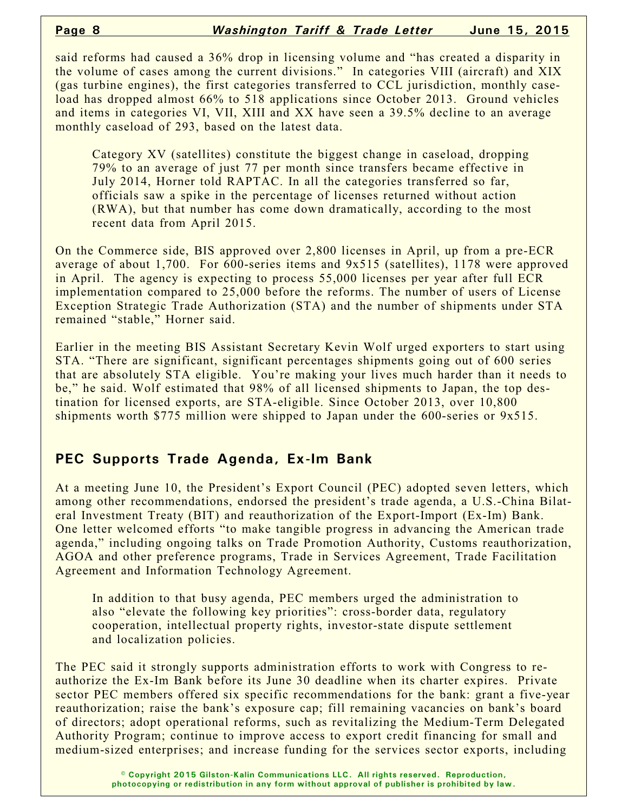said reforms had caused a 36% drop in licensing volume and "has created a disparity in the volume of cases among the current divisions." In categories VIII (aircraft) and XIX (gas turbine engines), the first categories transferred to CCL jurisdiction, monthly caseload has dropped almost 66% to 518 applications since October 2013. Ground vehicles and items in categories VI, VII, XIII and XX have seen a 39.5% decline to an average monthly caseload of 293, based on the latest data.

Category XV (satellites) constitute the biggest change in caseload, dropping 79% to an average of just 77 per month since transfers became effective in July 2014, Horner told RAPTAC. In all the categories transferred so far, officials saw a spike in the percentage of licenses returned without action (RWA), but that number has come down dramatically, according to the most recent data from April 2015.

On the Commerce side, BIS approved over 2,800 licenses in April, up from a pre-ECR average of about 1,700. For 600-series items and 9x515 (satellites), 1178 were approved in April. The agency is expecting to process 55,000 licenses per year after full ECR implementation compared to 25,000 before the reforms. The number of users of License Exception Strategic Trade Authorization (STA) and the number of shipments under STA remained "stable," Horner said.

Earlier in the meeting BIS Assistant Secretary Kevin Wolf urged exporters to start using STA. "There are significant, significant percentages shipments going out of 600 series that are absolutely STA eligible. You're making your lives much harder than it needs to be," he said. Wolf estimated that 98% of all licensed shipments to Japan, the top destination for licensed exports, are STA-eligible. Since October 2013, over 10,800 shipments worth \$775 million were shipped to Japan under the 600-series or 9x515.

### **PEC Supports Trade Agenda, Ex-Im Bank**

At a meeting June 10, the President's Export Council (PEC) adopted seven letters, which among other recommendations, endorsed the president's trade agenda, a U.S.-China Bilateral Investment Treaty (BIT) and reauthorization of the Export-Import (Ex-Im) Bank. One letter welcomed efforts "to make tangible progress in advancing the American trade agenda," including ongoing talks on Trade Promotion Authority, Customs reauthorization, AGOA and other preference programs, Trade in Services Agreement, Trade Facilitation Agreement and Information Technology Agreement.

In addition to that busy agenda, PEC members urged the administration to also "elevate the following key priorities": cross-border data, regulatory cooperation, intellectual property rights, investor-state dispute settlement and localization policies.

The PEC said it strongly supports administration efforts to work with Congress to reauthorize the Ex-Im Bank before its June 30 deadline when its charter expires. Private sector PEC members offered six specific recommendations for the bank: grant a five-year reauthorization; raise the bank's exposure cap; fill remaining vacancies on bank's board of directors; adopt operational reforms, such as revitalizing the Medium-Term Delegated Authority Program; continue to improve access to export credit financing for small and medium-sized enterprises; and increase funding for the services sector exports, including